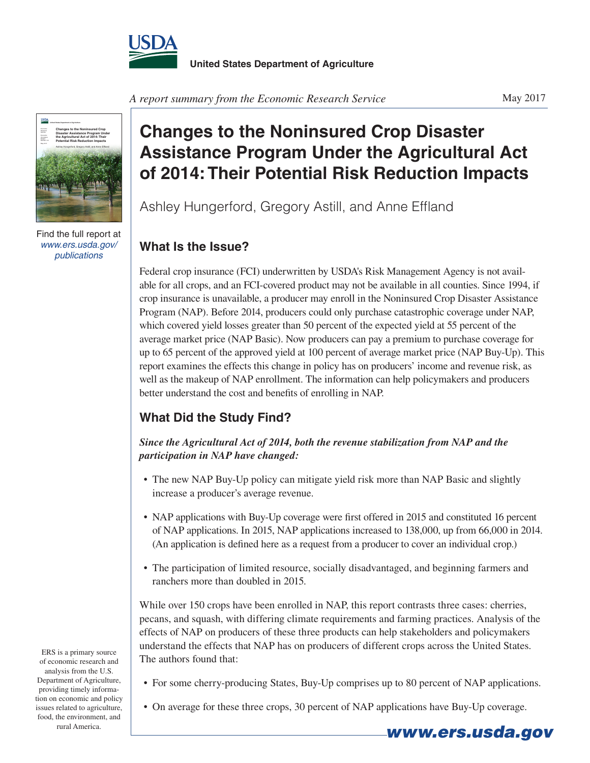



Find the full report at *www.ers.usda.gov/ publications*

**United States Department of Agriculture**

## **Changes to the Noninsured Crop Disaster Assistance Program Under the Agricultural Act of 2014: Their Potential Risk Reduction Impacts**

Ashley Hungerford, Gregory Astill, and Anne Effland

## **What Is the Issue?**

Federal crop insurance (FCI) underwritten by USDA's Risk Management Agency is not available for all crops, and an FCI-covered product may not be available in all counties. Since 1994, if crop insurance is unavailable, a producer may enroll in the Noninsured Crop Disaster Assistance Program (NAP). Before 2014, producers could only purchase catastrophic coverage under NAP, which covered yield losses greater than 50 percent of the expected yield at 55 percent of the average market price (NAP Basic). Now producers can pay a premium to purchase coverage for up to 65 percent of the approved yield at 100 percent of average market price (NAP Buy-Up). This report examines the effects this change in policy has on producers' income and revenue risk, as well as the makeup of NAP enrollment. The information can help policymakers and producers better understand the cost and benefits of enrolling in NAP.

## **What Did the Study Find?**

*Since the Agricultural Act of 2014, both the revenue stabilization from NAP and the participation in NAP have changed:*

- The new NAP Buy-Up policy can mitigate yield risk more than NAP Basic and slightly increase a producer's average revenue.
- NAP applications with Buy-Up coverage were first offered in 2015 and constituted 16 percent of NAP applications. In 2015, NAP applications increased to 138,000, up from 66,000 in 2014. (An application is defined here as a request from a producer to cover an individual crop.)
- • The participation of limited resource, socially disadvantaged, and beginning farmers and ranchers more than doubled in 2015.

While over 150 crops have been enrolled in NAP, this report contrasts three cases: cherries, pecans, and squash, with differing climate requirements and farming practices. Analysis of the effects of NAP on producers of these three products can help stakeholders and policymakers understand the effects that NAP has on producers of different crops across the United States. The authors found that:

- For some cherry-producing States, Buy-Up comprises up to 80 percent of NAP applications.
	- On average for these three crops, 30 percent of NAP applications have Buy-Up coverage.

ERS is a primary source of economic research and analysis from the U.S. Department of Agriculture, providing timely information on economic and policy issues related to agriculture, food, the environment, and rural America. *www.ers.usda.gov*